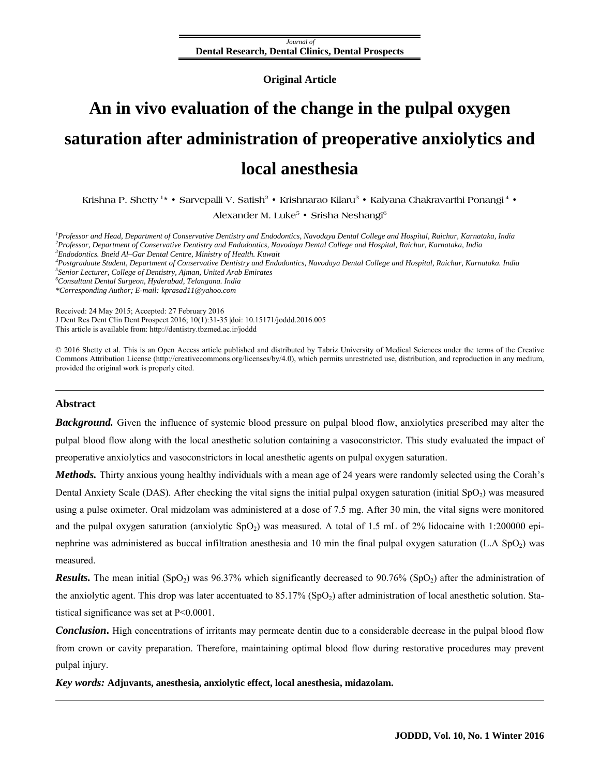*Journal of*  **Dental Research, Dental Clinics, Dental Prospects**

**Original Article** 

# **An in vivo evaluation of the change in the pulpal oxygen saturation after administration of preoperative anxiolytics and local anesthesia**

**Krishna P. Shetty 1\*** • **Sarvepalli V. Satish2** • **Krishnarao Kilaru3** • **Kalyana Chakravarthi Ponangi 4** •

**Alexander M. Luke5** • **Srisha Neshangi6**

<sup>1</sup> Professor and Head, Department of Conservative Dentistry and Endodontics, Navodaya Dental College and Hospital, Raichur, Karnataka, India <sup>2</sup><br><sup>2</sup> Professor, Danastment of Conservative Dentistry and Endodonties, Navoday *Professor, Department of Conservative Dentistry and Endodontics, Navodaya Dental College and Hospital, Raichur, Karnataka, India 3 Endodontics. Bneid Al–Gar Dental Centre, Ministry of Health. Kuwait 4 Postgraduate Student, Department of Conservative Dentistry and Endodontics, Navodaya Dental College and Hospital, Raichur, Karnataka. India 5*

*Senior Lecturer, College of Dentistry, Ajman, United Arab Emirates 6 Consultant Dental Surgeon, Hyderabad, Telangana. India* 

*\*Corresponding Author; E-mail: kprasad11@yahoo.com* 

Received: 24 May 2015; Accepted: 27 February 2016 J Dent Res Dent Clin Dent Prospect 2016; 10(1):31-35 |[doi: 10.15171/joddd.2016.00](http://dx.doi.org/10.15171/joddd.2016.005)5 This article is available from: http://dentistry.tbzmed.ac.ir/joddd

© 2016 Shetty et al. This is an Open Access article published and distributed by Tabriz University of Medical Sciences under the terms of the Creative Commons Attribution License (http://creativecommons.org/licenses/by/4.0), which permits unrestricted use, distribution, and reproduction in any medium, provided the original work is properly cited.

### **Abstract**

*Background.* Given the influence of systemic blood pressure on pulpal blood flow, anxiolytics prescribed may alter the pulpal blood flow along with the local anesthetic solution containing a vasoconstrictor. This study evaluated the impact of preoperative anxiolytics and vasoconstrictors in local anesthetic agents on pulpal oxygen saturation.

*Methods*. Thirty anxious young healthy individuals with a mean age of 24 years were randomly selected using the Corah's Dental Anxiety Scale (DAS). After checking the vital signs the initial pulpal oxygen saturation (initial  $SpO<sub>2</sub>$ ) was measured using a pulse oximeter. Oral midzolam was administered at a dose of 7.5 mg. After 30 min, the vital signs were monitored and the pulpal oxygen saturation (anxiolytic  $SpO<sub>2</sub>$ ) was measured. A total of 1.5 mL of 2% lidocaine with 1:200000 epinephrine was administered as buccal infiltration anesthesia and 10 min the final pulpal oxygen saturation (L.A  $SpO<sub>2</sub>$ ) was measured.

*Results.* The mean initial (SpO<sub>2</sub>) was 96.37% which significantly decreased to 90.76% (SpO<sub>2</sub>) after the administration of the anxiolytic agent. This drop was later accentuated to 85.17% (SpO<sub>2</sub>) after administration of local anesthetic solution. Statistical significance was set at P<0.0001.

*Conclusion***.** High concentrations of irritants may permeate dentin due to a considerable decrease in the pulpal blood flow from crown or cavity preparation. Therefore, maintaining optimal blood flow during restorative procedures may prevent pulpal injury.

*Key words:* **Adjuvants, anesthesia, anxiolytic effect, local anesthesia, midazolam.**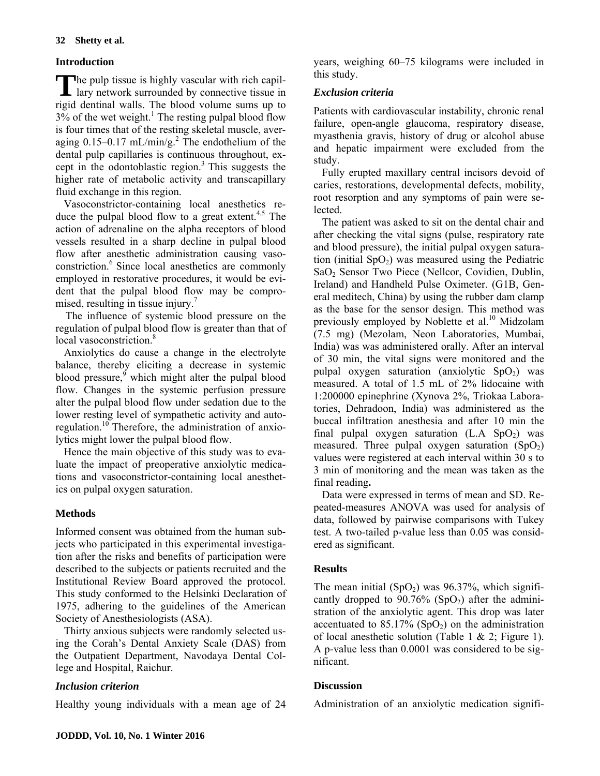# **Introduction**

The pulp tissue is highly vascular with rich capillary network surrounded by connective tissue in lary network surrounded by connective tissue in rigid dentinal walls. The blood volume sums up to  $3\%$  of the wet weight.<sup>1</sup> The resting pulpal blood flow is four times that of the resting skeletal muscle, averaging  $0.15-0.17$  mL/min/g.<sup>2</sup> The endothelium of the dental pulp capillaries is continuous throughout, except in the odontoblastic region. $3$  This suggests the higher rate of metabolic activity and transcapillary fluid exchange in this region.

Vasoconstrictor-containing local anesthetics reduce the pulpal blood flow to a great extent.<sup>4,5</sup> The action of adrenaline on the alpha receptors of blood vessels resulted in a sharp decline in pulpal blood flow after anesthetic administration causing vasoconstriction.6 Since local anesthetics are commonly employed in restorative procedures, it would be evident that the pulpal blood flow may be compromised, resulting in tissue injury.<sup>7</sup>

The influence of systemic blood pressure on the regulation of pulpal blood flow is greater than that of local vasoconstriction.<sup>8</sup>

Anxiolytics do cause a change in the electrolyte balance, thereby eliciting a decrease in systemic blood pressure, which might alter the pulpal blood flow. Changes in the systemic perfusion pressure alter the pulpal blood flow under sedation due to the lower resting level of sympathetic activity and autoregulation.10 Therefore, the administration of anxiolytics might lower the pulpal blood flow.

Hence the main objective of this study was to evaluate the impact of preoperative anxiolytic medications and vasoconstrictor-containing local anesthetics on pulpal oxygen saturation.

# **Methods**

Informed consent was obtained from the human subjects who participated in this experimental investigation after the risks and benefits of participation were described to the subjects or patients recruited and the Institutional Review Board approved the protocol. This study conformed to the Helsinki Declaration of 1975, adhering to the guidelines of the American Society of Anesthesiologists (ASA).

Thirty anxious subjects were randomly selected using the Corah's Dental Anxiety Scale (DAS) from the Outpatient Department, Navodaya Dental College and Hospital, Raichur.

# *Inclusion criterion*

Healthy young individuals with a mean age of 24

years, weighing 60‒75 kilograms were included in this study.

## *Exclusion criteria*

Patients with cardiovascular instability, chronic renal failure, open-angle glaucoma, respiratory disease, myasthenia gravis, history of drug or alcohol abuse and hepatic impairment were excluded from the study.

Fully erupted maxillary central incisors devoid of caries, restorations, developmental defects, mobility, root resorption and any symptoms of pain were selected.

The patient was asked to sit on the dental chair and after checking the vital signs (pulse, respiratory rate and blood pressure), the initial pulpal oxygen saturation (initial  $SpO<sub>2</sub>$ ) was measured using the Pediatric SaO<sub>2</sub> Sensor Two Piece (Nellcor, Covidien, Dublin, Ireland) and Handheld Pulse Oximeter. (G1B, General meditech, China) by using the rubber dam clamp as the base for the sensor design. This method was previously employed by Noblette et al.<sup>10</sup> Midzolam (7.5 mg) (Mezolam, Neon Laboratories, Mumbai, India) was was administered orally. After an interval of 30 min, the vital signs were monitored and the pulpal oxygen saturation (anxiolytic  $SpO<sub>2</sub>$ ) was measured. A total of 1.5 mL of 2% lidocaine with 1:200000 epinephrine (Xynova 2%, Triokaa Laboratories, Dehradoon, India) was administered as the buccal infiltration anesthesia and after 10 min the final pulpal oxygen saturation  $(L.A SpO<sub>2</sub>)$  was measured. Three pulpal oxygen saturation  $(SpO<sub>2</sub>)$ values were registered at each interval within 30 s to 3 min of monitoring and the mean was taken as the final reading**.** 

Data were expressed in terms of mean and SD. Repeated-measures ANOVA was used for analysis of data, followed by pairwise comparisons with Tukey test. A two-tailed p-value less than 0.05 was considered as significant.

# **Results**

The mean initial  $(SpO<sub>2</sub>)$  was 96.37%, which significantly dropped to  $90.76\%$  (SpO<sub>2</sub>) after the administration of the anxiolytic agent. This drop was later accentuated to  $85.17\%$  (SpO<sub>2</sub>) on the administration of local anesthetic solution (Table 1  $& 2$ ; Figure 1). A p-value less than 0.0001 was considered to be significant.

# **Discussion**

Administration of an anxiolytic medication signifi-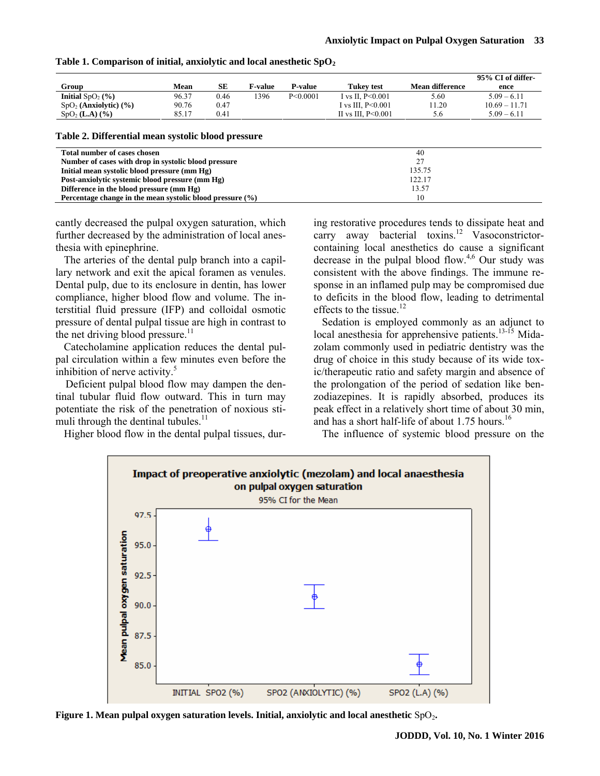|                                     |       |      |         |          |                        |                        | 95% CI of differ- |
|-------------------------------------|-------|------|---------|----------|------------------------|------------------------|-------------------|
| Group                               | Mean  | SE   | F-value | P-value  | Tukev test             | <b>Mean difference</b> | ence              |
| Initial $SpO2(\%)$                  | 96.37 | 0.46 | 1396    | P<0.0001 | I vs II. $P \le 0.001$ | 5.60                   | $5.09 - 6.11$     |
| $SpO2$ (Anxiolytic) (%)             | 90.76 | 0.47 |         |          | I vs III. $P<0.001$    | 1.20                   | $10.69 - 11.71$   |
| SpO <sub>2</sub> ( <b>L.A</b> ) (%) | 85.17 | 0.41 |         |          | II vs III. $P<0.001$   | 5.6                    | $5.09 - 6.11$     |
|                                     |       |      |         |          |                        |                        |                   |

#### Table 1. Comparison of initial, anxiolytic and local anesthetic SpO<sub>2</sub>

#### **Table 2. Differential mean systolic blood pressure**

| Total number of cases chosen                                  | 40     |
|---------------------------------------------------------------|--------|
| Number of cases with drop in systolic blood pressure          | 27     |
| Initial mean systolic blood pressure (mm Hg)                  | 135.75 |
| Post-anxiolytic systemic blood pressure (mm Hg)               | 122.17 |
| Difference in the blood pressure (mm Hg)                      | 13.57  |
| Percentage change in the mean systolic blood pressure $(\% )$ | 10     |

cantly decreased the pulpal oxygen saturation, which further decreased by the administration of local anesthesia with epinephrine.

The arteries of the dental pulp branch into a capillary network and exit the apical foramen as venules. Dental pulp, due to its enclosure in dentin, has lower compliance, higher blood flow and volume. The interstitial fluid pressure (IFP) and colloidal osmotic pressure of dental pulpal tissue are high in contrast to the net driving blood pressure. $11$ 

Catecholamine application reduces the dental pulpal circulation within a few minutes even before the inhibition of nerve activity. $5$ 

Deficient pulpal blood flow may dampen the dentinal tubular fluid flow outward. This in turn may potentiate the risk of the penetration of noxious stimuli through the dentinal tubules. $<sup>11</sup>$ </sup>

Higher blood flow in the dental pulpal tissues, dur-

ing restorative procedures tends to dissipate heat and carry away bacterial toxins.<sup>12</sup> Vasoconstrictorcontaining local anesthetics do cause a significant decrease in the pulpal blood flow.<sup>4,6</sup> Our study was consistent with the above findings. The immune response in an inflamed pulp may be compromised due to deficits in the blood flow, leading to detrimental effects to the tissue.<sup>12</sup>

Sedation is employed commonly as an adjunct to local anesthesia for apprehensive patients.<sup>13-15</sup> Midazolam commonly used in pediatric dentistry was the drug of choice in this study because of its wide toxic/therapeutic ratio and safety margin and absence of the prolongation of the period of sedation like benzodiazepines. It is rapidly absorbed, produces its peak effect in a relatively short time of about 30 min, and has a short half-life of about  $1.75$  hours.<sup>16</sup>

The influence of systemic blood pressure on the



**Figure 1. Mean pulpal oxygen saturation levels. Initial, anxiolytic and local anesthetic SpO<sub>2</sub>.**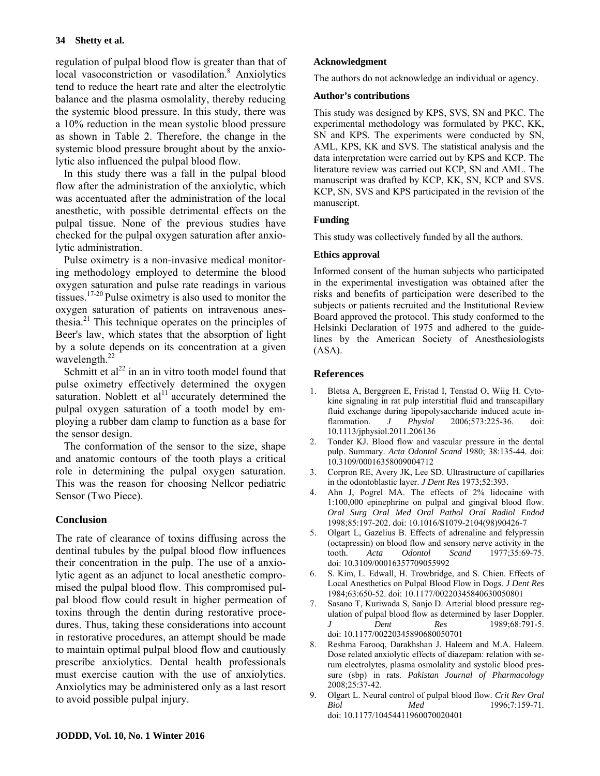regulation of pulpal blood flow is greater than that of local vasoconstriction or vasodilation.<sup>8</sup> Anxiolytics tend to reduce the heart rate and alter the electrolytic balance and the plasma osmolality, thereby reducing the systemic blood pressure. In this study, there was a 10% reduction in the mean systolic blood pressure as shown in Table 2. Therefore, the change in the systemic blood pressure brought about by the anxiolytic also influenced the pulpal blood flow.

In this study there was a fall in the pulpal blood flow after the administration of the anxiolytic, which was accentuated after the administration of the local anesthetic, with possible detrimental effects on the pulpal tissue. None of the previous studies have checked for the pulpal oxygen saturation after anxiolytic administration.

Pulse oximetry is a non-invasive medical monitoring methodology employed to determine the blood oxygen saturation and pulse rate readings in various tissues.17-20 Pulse oximetry is also used to monitor the oxygen saturation of patients on intravenous anesthesia. $^{21}$  This technique operates on the principles of Beer's law, which states that the absorption of light by a solute depends on its concentration at a given wavelength. $^{22}$ 

Schmitt et al<sup>22</sup> in an in vitro tooth model found that pulse oximetry effectively determined the oxygen saturation. Noblett et  $al<sup>11</sup>$  accurately determined the pulpal oxygen saturation of a tooth model by employing a rubber dam clamp to function as a base for the sensor design.

The conformation of the sensor to the size, shape and anatomic contours of the tooth plays a critical role in determining the pulpal oxygen saturation. This was the reason for choosing Nellcor pediatric Sensor (Two Piece).

# **Conclusion**

The rate of clearance of toxins diffusing across the dentinal tubules by the pulpal blood flow influences their concentration in the pulp. The use of a anxiolytic agent as an adjunct to local anesthetic compromised the pulpal blood flow. This compromised pulpal blood flow could result in higher permeation of toxins through the dentin during restorative procedures. Thus, taking these considerations into account in restorative procedures, an attempt should be made to maintain optimal pulpal blood flow and cautiously prescribe anxiolytics. Dental health professionals must exercise caution with the use of anxiolytics. Anxiolytics may be administered only as a last resort to avoid possible pulpal injury.

## **Acknowledgment**

The authors do not acknowledge an individual or agency.

### **Author's contributions**

This study was designed by KPS, SVS, SN and PKC. The experimental methodology was formulated by PKC, KK, SN and KPS. The experiments were conducted by SN, AML, KPS, KK and SVS. The statistical analysis and the data interpretation were carried out by KPS and KCP. The literature review was carried out KCP, SN and AML. The manuscript was drafted by KCP, KK, SN, KCP and SVS. KCP, SN, SVS and KPS participated in the revision of the manuscript.

## **Funding**

This study was collectively funded by all the authors.

## **Ethics approval**

Informed consent of the human subjects who participated in the experimental investigation was obtained after the risks and benefits of participation were described to the subjects or patients recruited and the Institutional Review Board approved the protocol. This study conformed to the Helsinki Declaration of 1975 and adhered to the guidelines by the American Society of Anesthesiologists (ASA).

## **References**

- 1. Bletsa A, Berggreen E, Fristad I, Tenstad O, Wiig H. Cytokine signaling in rat pulp interstitial fluid and transcapillary fluid exchange during lipopolysaccharide induced acute inflammation. *J Physiol* 2006;573:225-36. doi: 10.1113/jphysiol.2011.206136
- 2. Tonder KJ. Blood flow and vascular pressure in the dental pulp. Summary. *Acta Odontol Scand* 1980; 38:135-44. doi: 10.3109/00016358009004712
- 3. Corpron RE, Avery JK, Lee SD. Ultrastructure of capillaries in the odontoblastic layer. *J Dent Res* 1973;52:393.
- 4. [Ahn J](http://www.ncbi.nlm.nih.gov/pubmed?term=Ahn%20J%5BAuthor%5D&cauthor=true&cauthor_uid=9503456), [Pogrel MA](http://www.ncbi.nlm.nih.gov/pubmed?term=Pogrel%20MA%5BAuthor%5D&cauthor=true&cauthor_uid=9503456). The effects of 2% lidocaine with 1:100,000 epinephrine on pulpal and gingival blood flow. *[Oral Surg Oral Med Oral Pathol Oral Radiol Endod](http://www.ncbi.nlm.nih.gov/pubmed/9503456)* 1998;85:197-202. doi: 10.1016/S1079-2104(98)90426-7
- 5. Olgart L, Gazelius B. Effects of adrenaline and felypressin (octapressin) on blood flow and sensory nerve activity in the tooth. *Acta Odontol Scand* 1977;35:69-75. doi: 10.3109/00016357709055992
- 6. S. Kim, L. Edwall, H. Trowbridge, and S. Chien. Effects of Local Anesthetics on Pulpal Blood Flow in Dogs. *J Dent Res*  1984;63:650-52. doi: 10.1177/00220345840630050801
- 7. [Sasano T,](http://www.ncbi.nlm.nih.gov/pubmed?term=Sasano%20T%5BAuthor%5D&cauthor=true&cauthor_uid=2654230) [Kuriwada S,](http://www.ncbi.nlm.nih.gov/pubmed?term=Kuriwada%20S%5BAuthor%5D&cauthor=true&cauthor_uid=2654230) [Sanjo D](http://www.ncbi.nlm.nih.gov/pubmed?term=Sanjo%20D%5BAuthor%5D&cauthor=true&cauthor_uid=2654230). Arterial blood pressure regulation of pulpal blood flow as determined by laser Doppler. *J Dent Res* 1989;68:791-5. doi: 10.1177/00220345890680050701
- Reshma Farooq, Darakhshan J. Haleem and M.A. Haleem. Dose related anxiolytic effects of diazepam: relation with serum electrolytes, plasma osmolality and systolic blood pressure (sbp) in rats. *Pakistan Journal of Pharmacology* 2008;25:37-42.
- 9. Olgart L. Neural control of pulpal blood flow. *Crit Rev Oral Biol Med* 1996;7:159-71. doi: 10.1177/10454411960070020401